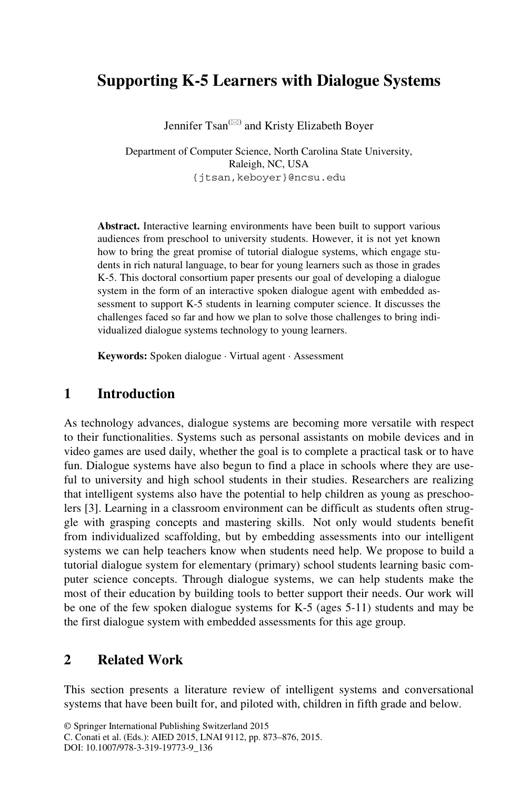# **Supporting K-5 Learners with Dialogue Systems**

Jennifer  $\text{Tsan}^{(\boxtimes)}$  and Kristy Elizabeth Boyer

Department of Computer Science, North Carolina State University, Raleigh, NC, USA {jtsan,keboyer}@ncsu.edu

**Abstract.** Interactive learning environments have been built to support various audiences from preschool to university students. However, it is not yet known how to bring the great promise of tutorial dialogue systems, which engage students in rich natural language, to bear for young learners such as those in grades K-5. This doctoral consortium paper presents our goal of developing a dialogue system in the form of an interactive spoken dialogue agent with embedded assessment to support K-5 students in learning computer science. It discusses the challenges faced so far and how we plan to solve those challenges to bring individualized dialogue systems technology to young learners.

**Keywords:** Spoken dialogue · Virtual agent · Assessment

#### **1 Introduction**

As technology advances, dialogue systems are becoming more versatile with respect to their functionalities. Systems such as personal assistants on mobile devices and in video games are used daily, whether the goal is to complete a practical task or to have fun. Dialogue systems have also begun to find a place in schools where they are useful to university and high school students in their studies. Researchers are realizing that intelligent systems also have the potential to help children as young as preschoolers [3]. Learning in a classroom environment can be difficult as students often struggle with grasping concepts and mastering skills. Not only would students benefit from individualized scaffolding, but by embedding assessments into our intelligent systems we can help teachers know when students need help. We propose to build a tutorial dialogue system for elementary (primary) school students learning basic computer science concepts. Through dialogue systems, we can help students make the most of their education by building tools to better support their needs. Our work will be one of the few spoken dialogue systems for K-5 (ages 5-11) students and may be the first dialogue system with embedded assessments for this age group.

### **2 Related Work**

This section presents a literature review of intelligent systems and conversational systems that have been built for, and piloted with, children in fifth grade and below.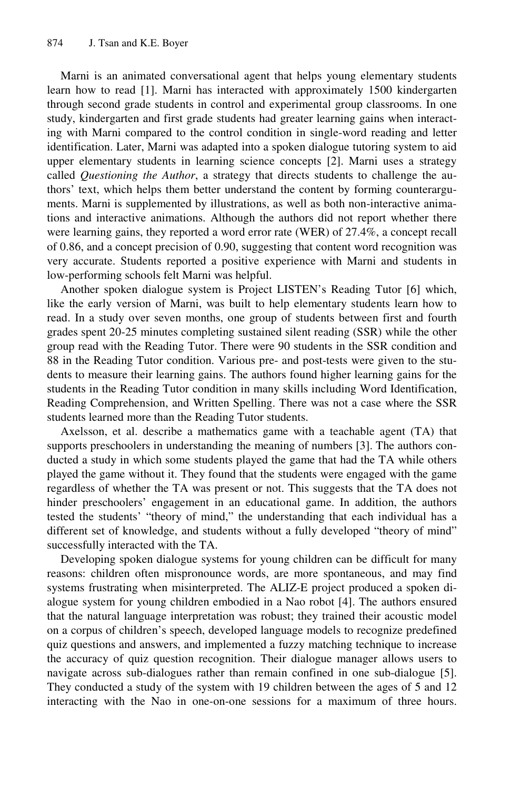Marni is an animated conversational agent that helps young elementary students learn how to read [1]. Marni has interacted with approximately 1500 kindergarten through second grade students in control and experimental group classrooms. In one study, kindergarten and first grade students had greater learning gains when interacting with Marni compared to the control condition in single-word reading and letter identification. Later, Marni was adapted into a spoken dialogue tutoring system to aid upper elementary students in learning science concepts [2]. Marni uses a strategy called *Questioning the Author*, a strategy that directs students to challenge the authors' text, which helps them better understand the content by forming counterarguments. Marni is supplemented by illustrations, as well as both non-interactive animations and interactive animations. Although the authors did not report whether there were learning gains, they reported a word error rate (WER) of 27.4%, a concept recall of 0.86, and a concept precision of 0.90, suggesting that content word recognition was very accurate. Students reported a positive experience with Marni and students in low-performing schools felt Marni was helpful.

Another spoken dialogue system is Project LISTEN's Reading Tutor [6] which, like the early version of Marni, was built to help elementary students learn how to read. In a study over seven months, one group of students between first and fourth grades spent 20-25 minutes completing sustained silent reading (SSR) while the other group read with the Reading Tutor. There were 90 students in the SSR condition and 88 in the Reading Tutor condition. Various pre- and post-tests were given to the students to measure their learning gains. The authors found higher learning gains for the students in the Reading Tutor condition in many skills including Word Identification, Reading Comprehension, and Written Spelling. There was not a case where the SSR students learned more than the Reading Tutor students.

Axelsson, et al. describe a mathematics game with a teachable agent (TA) that supports preschoolers in understanding the meaning of numbers [3]. The authors conducted a study in which some students played the game that had the TA while others played the game without it. They found that the students were engaged with the game regardless of whether the TA was present or not. This suggests that the TA does not hinder preschoolers' engagement in an educational game. In addition, the authors tested the students' "theory of mind," the understanding that each individual has a different set of knowledge, and students without a fully developed "theory of mind" successfully interacted with the TA.

Developing spoken dialogue systems for young children can be difficult for many reasons: children often mispronounce words, are more spontaneous, and may find systems frustrating when misinterpreted. The ALIZ-E project produced a spoken dialogue system for young children embodied in a Nao robot [4]. The authors ensured that the natural language interpretation was robust; they trained their acoustic model on a corpus of children's speech, developed language models to recognize predefined quiz questions and answers, and implemented a fuzzy matching technique to increase the accuracy of quiz question recognition. Their dialogue manager allows users to navigate across sub-dialogues rather than remain confined in one sub-dialogue [5]. They conducted a study of the system with 19 children between the ages of 5 and 12 interacting with the Nao in one-on-one sessions for a maximum of three hours.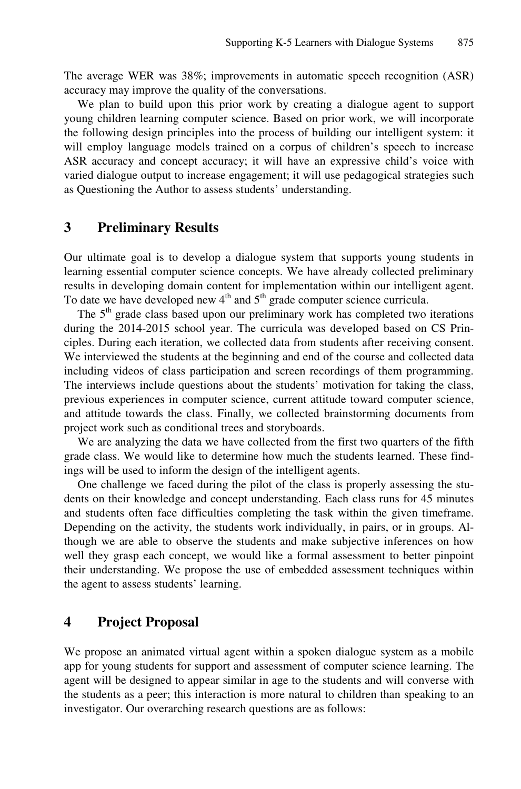The average WER was 38%; improvements in automatic speech recognition (ASR) accuracy may improve the quality of the conversations.

We plan to build upon this prior work by creating a dialogue agent to support young children learning computer science. Based on prior work, we will incorporate the following design principles into the process of building our intelligent system: it will employ language models trained on a corpus of children's speech to increase ASR accuracy and concept accuracy; it will have an expressive child's voice with varied dialogue output to increase engagement; it will use pedagogical strategies such as Questioning the Author to assess students' understanding.

#### **3 Preliminary Results**

Our ultimate goal is to develop a dialogue system that supports young students in learning essential computer science concepts. We have already collected preliminary results in developing domain content for implementation within our intelligent agent. To date we have developed new  $4<sup>th</sup>$  and  $5<sup>th</sup>$  grade computer science curricula.

The 5<sup>th</sup> grade class based upon our preliminary work has completed two iterations during the 2014-2015 school year. The curricula was developed based on CS Principles. During each iteration, we collected data from students after receiving consent. We interviewed the students at the beginning and end of the course and collected data including videos of class participation and screen recordings of them programming. The interviews include questions about the students' motivation for taking the class, previous experiences in computer science, current attitude toward computer science, and attitude towards the class. Finally, we collected brainstorming documents from project work such as conditional trees and storyboards.

We are analyzing the data we have collected from the first two quarters of the fifth grade class. We would like to determine how much the students learned. These findings will be used to inform the design of the intelligent agents.

One challenge we faced during the pilot of the class is properly assessing the students on their knowledge and concept understanding. Each class runs for 45 minutes and students often face difficulties completing the task within the given timeframe. Depending on the activity, the students work individually, in pairs, or in groups. Although we are able to observe the students and make subjective inferences on how well they grasp each concept, we would like a formal assessment to better pinpoint their understanding. We propose the use of embedded assessment techniques within the agent to assess students' learning.

#### **4 Project Proposal**

We propose an animated virtual agent within a spoken dialogue system as a mobile app for young students for support and assessment of computer science learning. The agent will be designed to appear similar in age to the students and will converse with the students as a peer; this interaction is more natural to children than speaking to an investigator. Our overarching research questions are as follows: